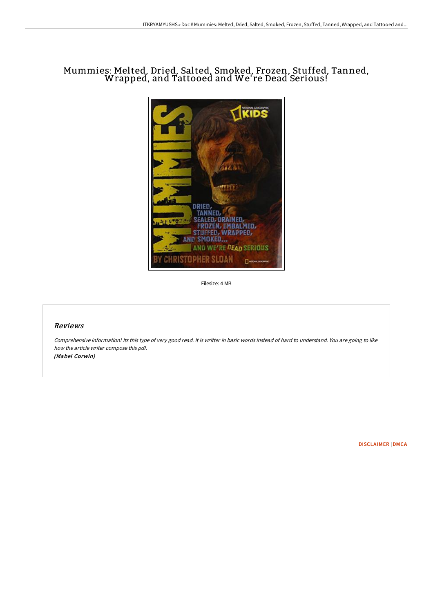## Mummies: Melted, Dried, Salted, Smoked, Frozen, Stuffed, Tanned, Wrapped, and Tattooed and We' re Dead Serious!



Filesize: 4 MB

## Reviews

Comprehensive information! Its this type of very good read. It is writter in basic words instead of hard to understand. You are going to like how the article writer compose this pdf. (Mabel Corwin)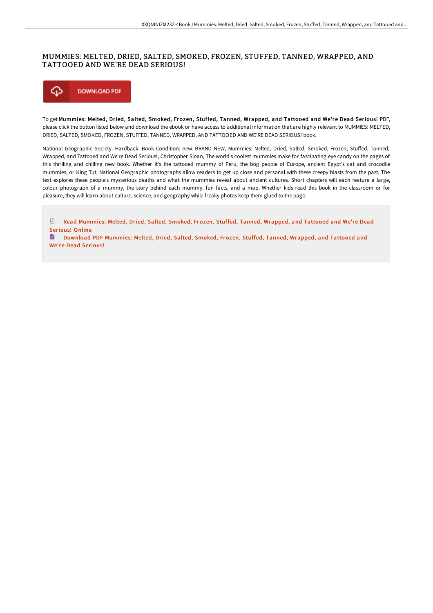## MUMMIES: MELTED, DRIED, SALTED, SMOKED, FROZEN, STUFFED, TANNED, WRAPPED, AND TATTOOED AND WE'RE DEAD SERIOUS!



To get Mummies: Melted, Dried, Salted, Smoked, Frozen, Stuffed, Tanned, Wrapped, and Tattooed and We're Dead Serious! PDF, please click the button listed below and download the ebook or have access to additional information that are highly relevant to MUMMIES: MELTED, DRIED, SALTED, SMOKED, FROZEN, STUFFED, TANNED, WRAPPED, AND TATTOOED AND WE'RE DEAD SERIOUS! book.

National Geographic Society. Hardback. Book Condition: new. BRAND NEW, Mummies: Melted, Dried, Salted, Smoked, Frozen, Stuffed, Tanned, Wrapped, and Tattooed and We're Dead Serious!, Christopher Sloan, The world's coolest mummies make for fascinating eye candy on the pages of this thrilling and chilling new book. Whether it's the tattooed mummy of Peru, the bog people of Europe, ancient Egypt's cat and crocodile mummies, or King Tut, National Geographic photographs allow readers to get up close and personal with these creepy blasts from the past. The text explores these people's mysterious deaths and what the mummies reveal about ancient cultures. Short chapters will each feature a large, colour photograph of a mummy, the story behind each mummy, fun facts, and a map. Whether kids read this book in the classroom or for pleasure, they will learn about culture, science, and geography while freaky photos keep them glued to the page.

 $\mathbb{R}$ Read [Mummies:](http://www.bookdirs.com/mummies-melted-dried-salted-smoked-frozen-stuffe.html) Melted, Dried, Salted, Smoked, Frozen, Stuffed, Tanned, Wrapped, and Tattooed and We're Dead Serious! Online

B. Download PDF [Mummies:](http://www.bookdirs.com/mummies-melted-dried-salted-smoked-frozen-stuffe.html) Melted, Dried, Salted, Smoked, Frozen, Stuffed, Tanned, Wrapped, and Tattooed and We're Dead Serious!